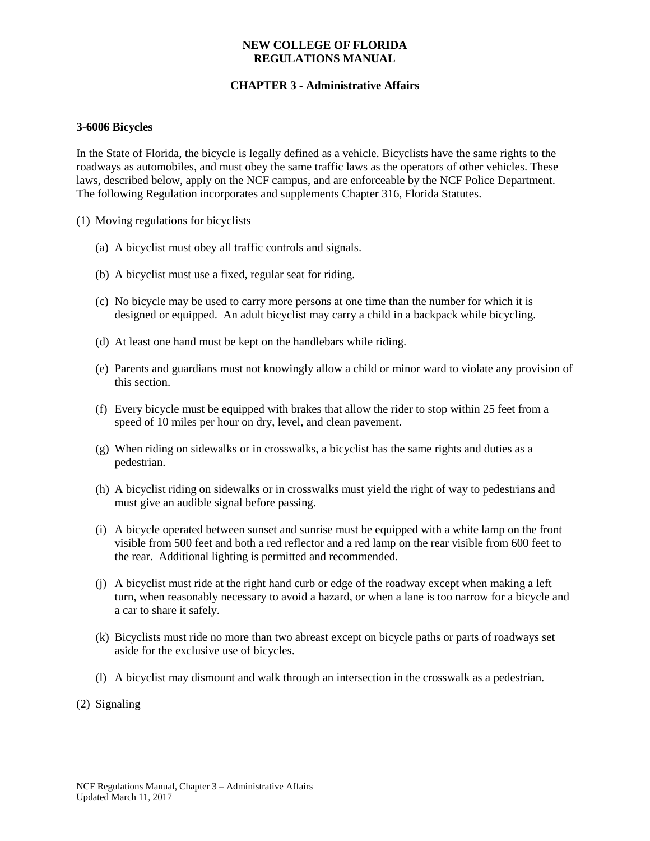### **NEW COLLEGE OF FLORIDA REGULATIONS MANUAL**

# **CHAPTER 3 - Administrative Affairs**

#### **3-6006 Bicycles**

In the State of Florida, the bicycle is legally defined as a vehicle. Bicyclists have the same rights to the roadways as automobiles, and must obey the same traffic laws as the operators of other vehicles. These laws, described below, apply on the NCF campus, and are enforceable by the NCF Police Department. The following Regulation incorporates and supplements Chapter 316, Florida Statutes.

- (1) Moving regulations for bicyclists
	- (a) A bicyclist must obey all traffic controls and signals.
	- (b) A bicyclist must use a fixed, regular seat for riding.
	- (c) No bicycle may be used to carry more persons at one time than the number for which it is designed or equipped. An adult bicyclist may carry a child in a backpack while bicycling.
	- (d) At least one hand must be kept on the handlebars while riding.
	- (e) Parents and guardians must not knowingly allow a child or minor ward to violate any provision of this section.
	- (f) Every bicycle must be equipped with brakes that allow the rider to stop within 25 feet from a speed of 10 miles per hour on dry, level, and clean pavement.
	- (g) When riding on sidewalks or in crosswalks, a bicyclist has the same rights and duties as a pedestrian.
	- (h) A bicyclist riding on sidewalks or in crosswalks must yield the right of way to pedestrians and must give an audible signal before passing.
	- (i) A bicycle operated between sunset and sunrise must be equipped with a white lamp on the front visible from 500 feet and both a red reflector and a red lamp on the rear visible from 600 feet to the rear. Additional lighting is permitted and recommended.
	- (j) A bicyclist must ride at the right hand curb or edge of the roadway except when making a left turn, when reasonably necessary to avoid a hazard, or when a lane is too narrow for a bicycle and a car to share it safely.
	- (k) Bicyclists must ride no more than two abreast except on bicycle paths or parts of roadways set aside for the exclusive use of bicycles.
	- (l) A bicyclist may dismount and walk through an intersection in the crosswalk as a pedestrian.
- (2) Signaling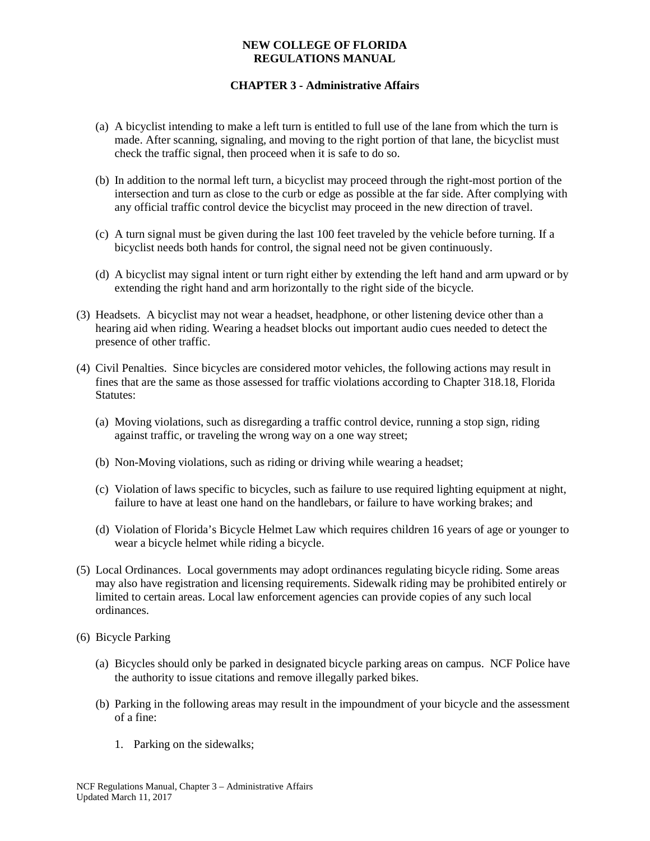## **NEW COLLEGE OF FLORIDA REGULATIONS MANUAL**

## **CHAPTER 3 - Administrative Affairs**

- (a) A bicyclist intending to make a left turn is entitled to full use of the lane from which the turn is made. After scanning, signaling, and moving to the right portion of that lane, the bicyclist must check the traffic signal, then proceed when it is safe to do so.
- (b) In addition to the normal left turn, a bicyclist may proceed through the right-most portion of the intersection and turn as close to the curb or edge as possible at the far side. After complying with any official traffic control device the bicyclist may proceed in the new direction of travel.
- (c) A turn signal must be given during the last 100 feet traveled by the vehicle before turning. If a bicyclist needs both hands for control, the signal need not be given continuously.
- (d) A bicyclist may signal intent or turn right either by extending the left hand and arm upward or by extending the right hand and arm horizontally to the right side of the bicycle.
- (3) Headsets. A bicyclist may not wear a headset, headphone, or other listening device other than a hearing aid when riding. Wearing a headset blocks out important audio cues needed to detect the presence of other traffic.
- (4) Civil Penalties. Since bicycles are considered motor vehicles, the following actions may result in fines that are the same as those assessed for traffic violations according to Chapter 318.18, Florida Statutes:
	- (a) Moving violations, such as disregarding a traffic control device, running a stop sign, riding against traffic, or traveling the wrong way on a one way street;
	- (b) Non-Moving violations, such as riding or driving while wearing a headset;
	- (c) Violation of laws specific to bicycles, such as failure to use required lighting equipment at night, failure to have at least one hand on the handlebars, or failure to have working brakes; and
	- (d) Violation of Florida's Bicycle Helmet Law which requires children 16 years of age or younger to wear a bicycle helmet while riding a bicycle.
- (5) Local Ordinances. Local governments may adopt ordinances regulating bicycle riding. Some areas may also have registration and licensing requirements. Sidewalk riding may be prohibited entirely or limited to certain areas. Local law enforcement agencies can provide copies of any such local ordinances.
- (6) Bicycle Parking
	- (a) Bicycles should only be parked in designated bicycle parking areas on campus. NCF Police have the authority to issue citations and remove illegally parked bikes.
	- (b) Parking in the following areas may result in the impoundment of your bicycle and the assessment of a fine:
		- 1. Parking on the sidewalks;